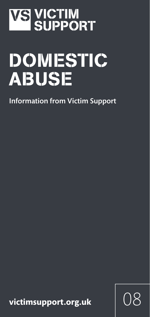# **VS VICTIM<br>SUPPORT**

# DOMESTIC ABUSE

Information from Victim Support

 $vic tim support.org.uk$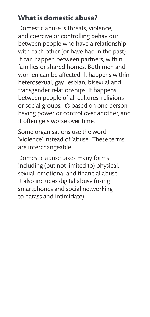#### **What is domestic abuse?**

Domestic abuse is threats, violence, and coercive or controlling behaviour between people who have a relationship with each other (or have had in the past). It can happen between partners, within families or shared homes. Both men and women can be affected. It happens within heterosexual, gay, lesbian, bisexual and transgender relationships. It happens between people of all cultures, religions or social groups. It's based on one person having power or control over another, and it often gets worse over time.

Some organisations use the word 'violence' instead of 'abuse'. These terms are interchangeable.

Domestic abuse takes many forms including (but not limited to) physical, sexual, emotional and financial abuse. It also includes digital abuse (using smartphones and social networking to harass and intimidate).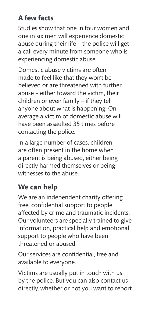# **A few facts**

Studies show that one in four women and one in six men will experience domestic abuse during their life – the police will get a call every minute from someone who is experiencing domestic abuse.

Domestic abuse victims are often made to feel like that they won't be believed or are threatened with further abuse – either toward the victim, their children or even family – if they tell anyone about what is happening. On average a victim of domestic abuse will have been assaulted 35 times before contacting the police.

In a large number of cases, children are often present in the home when a parent is being abused, either being directly harmed themselves or being witnesses to the abuse.

# **We can help**

We are an independent charity offering free, confidential support to people affected by crime and traumatic incidents. Our volunteers are specially trained to give information, practical help and emotional support to people who have been threatened or abused.

Our services are confidential, free and available to everyone.

Victims are usually put in touch with us by the police. But you can also contact us directly, whether or not you want to report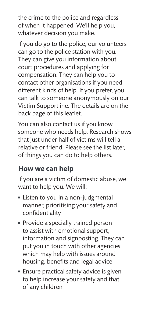the crime to the police and regardless of when it happened. We'll help you, whatever decision you make.

If you do go to the police, our volunteers can go to the police station with you. They can give you information about court procedures and applying for compensation. They can help you to contact other organisations if you need different kinds of help. If you prefer, you can talk to someone anonymously on our Victim Supportline. The details are on the back page of this leaflet.

You can also contact us if you know someone who needs help. Research shows that just under half of victims will tell a relative or friend. Please see the list later, of things you can do to help others.

#### **How we can help**

If you are a victim of domestic abuse, we want to help you. We will:

- **Example 1** Listen to you in a non-judgmental manner, prioritising your safety and confidentiality
- Provide a specially trained person to assist with emotional support, information and signposting. They can put you in touch with other agencies which may help with issues around housing, benefits and legal advice
- **Ensure practical safety advice is given** to help increase your safety and that of any children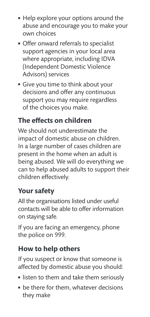- **Help explore your options around the** abuse and encourage you to make your own choices
- **Offer onward referrals to specialist** support agencies in your local area where appropriate, including IDVA (Independent Domestic Violence Advisors) services
- **Give you time to think about your** decisions and offer any continuous support you may require regardless of the choices you make.

# **The effects on children**

We should not underestimate the impact of domestic abuse on children. In a large number of cases children are present in the home when an adult is being abused. We will do everything we can to help abused adults to support their children effectively.

#### **Your safety**

All the organisations listed under useful contacts will be able to offer information on staying safe.

If you are facing an emergency, phone the police on 999.

### **How to help others**

If you suspect or know that someone is affected by domestic abuse you should:

- **Example 1** listen to them and take them seriously
- $\blacksquare$  be there for them, whatever decisions they make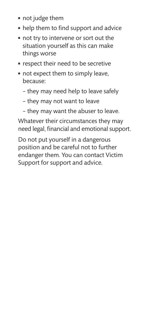- not judge them
- $\blacksquare$  help them to find support and advice
- not try to intervene or sort out the situation yourself as this can make things worse
- **n** respect their need to be secretive
- not expect them to simply leave, because:
	- they may need help to leave safely
	- they may not want to leave
	- they may want the abuser to leave.

Whatever their circumstances they may need legal, financial and emotional support.

Do not put yourself in a dangerous position and be careful not to further endanger them. You can contact Victim Support for support and advice.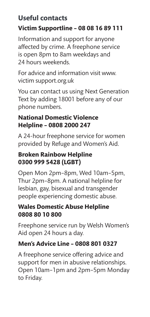#### **Useful contacts Victim Supportline – 08 08 16 89 111**

Information and support for anyone affected by crime. A freephone service is open 8pm to 8am weekdays and 24 hours weekends.

For advice and information visit www. victim support.org.uk

You can contact us using Next Generation Text by adding 18001 before any of our phone numbers.

#### **National Domestic Violence Helpline – 0808 2000 247**

A 24-hour freephone service for women provided by Refuge and Women's Aid.

#### **Broken Rainbow Helpline 0300 999 5428 (LGBT)**

Open Mon 2pm–8pm, Wed 10am–5pm, Thur 2pm–8pm. A national helpline for lesbian, gay, bisexual and transgender people experiencing domestic abuse.

#### **Wales Domestic Abuse Helpline 0808 80 10 800**

Freephone service run by Welsh Women's Aid open 24 hours a day.

#### **Men's Advice Line – 0808 801 0327**

A freephone service offering advice and support for men in abusive relationships. Open 10am–1pm and 2pm–5pm Monday to Friday.